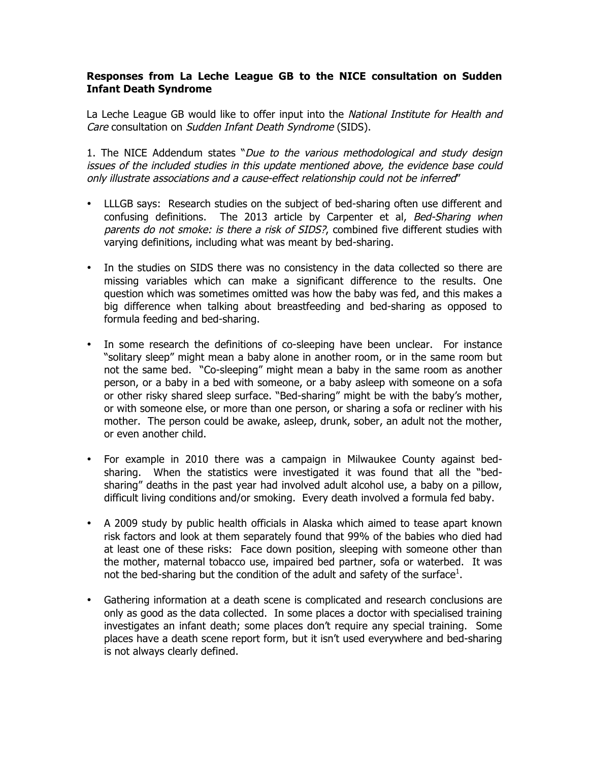## **Responses from La Leche League GB to the NICE consultation on Sudden Infant Death Syndrome**

La Leche League GB would like to offer input into the *National Institute for Health and* Care consultation on Sudden Infant Death Syndrome (SIDS).

1. The NICE Addendum states "Due to the various methodological and study design issues of the included studies in this update mentioned above, the evidence base could only illustrate associations and a cause-effect relationship could not be inferred"

- LLLGB says: Research studies on the subject of bed-sharing often use different and confusing definitions. The 2013 article by Carpenter et al, Bed-Sharing when parents do not smoke: is there a risk of SIDS?, combined five different studies with varying definitions, including what was meant by bed-sharing.
- In the studies on SIDS there was no consistency in the data collected so there are missing variables which can make a significant difference to the results. One question which was sometimes omitted was how the baby was fed, and this makes a big difference when talking about breastfeeding and bed-sharing as opposed to formula feeding and bed-sharing.
- In some research the definitions of co-sleeping have been unclear. For instance "solitary sleep" might mean a baby alone in another room, or in the same room but not the same bed. "Co-sleeping" might mean a baby in the same room as another person, or a baby in a bed with someone, or a baby asleep with someone on a sofa or other risky shared sleep surface. "Bed-sharing" might be with the baby's mother, or with someone else, or more than one person, or sharing a sofa or recliner with his mother. The person could be awake, asleep, drunk, sober, an adult not the mother, or even another child.
- For example in 2010 there was a campaign in Milwaukee County against bedsharing. When the statistics were investigated it was found that all the "bedsharing" deaths in the past year had involved adult alcohol use, a baby on a pillow, difficult living conditions and/or smoking. Every death involved a formula fed baby.
- A 2009 study by public health officials in Alaska which aimed to tease apart known risk factors and look at them separately found that 99% of the babies who died had at least one of these risks: Face down position, sleeping with someone other than the mother, maternal tobacco use, impaired bed partner, sofa or waterbed. It was not the bed-sharing but the condition of the adult and safety of the surface<sup>1</sup>.
- Gathering information at a death scene is complicated and research conclusions are only as good as the data collected. In some places a doctor with specialised training investigates an infant death; some places don't require any special training. Some places have a death scene report form, but it isn't used everywhere and bed-sharing is not always clearly defined.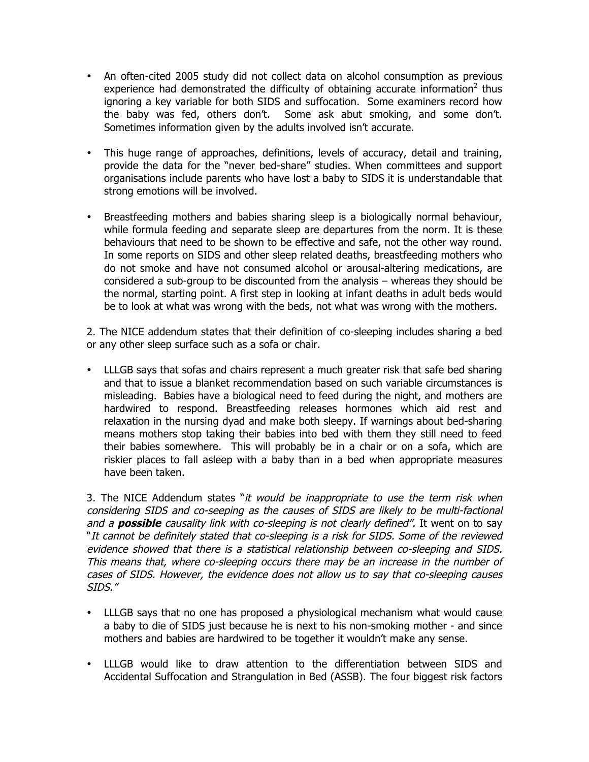- An often-cited 2005 study did not collect data on alcohol consumption as previous experience had demonstrated the difficulty of obtaining accurate information<sup>2</sup> thus ignoring a key variable for both SIDS and suffocation. Some examiners record how the baby was fed, others don't. Some ask abut smoking, and some don't. Sometimes information given by the adults involved isn't accurate.
- This huge range of approaches, definitions, levels of accuracy, detail and training, provide the data for the "never bed-share" studies. When committees and support organisations include parents who have lost a baby to SIDS it is understandable that strong emotions will be involved.
- Breastfeeding mothers and babies sharing sleep is a biologically normal behaviour, while formula feeding and separate sleep are departures from the norm. It is these behaviours that need to be shown to be effective and safe, not the other way round. In some reports on SIDS and other sleep related deaths, breastfeeding mothers who do not smoke and have not consumed alcohol or arousal-altering medications, are considered a sub-group to be discounted from the analysis – whereas they should be the normal, starting point. A first step in looking at infant deaths in adult beds would be to look at what was wrong with the beds, not what was wrong with the mothers.

2. The NICE addendum states that their definition of co-sleeping includes sharing a bed or any other sleep surface such as a sofa or chair.

• LLLGB says that sofas and chairs represent a much greater risk that safe bed sharing and that to issue a blanket recommendation based on such variable circumstances is misleading. Babies have a biological need to feed during the night, and mothers are hardwired to respond. Breastfeeding releases hormones which aid rest and relaxation in the nursing dyad and make both sleepy. If warnings about bed-sharing means mothers stop taking their babies into bed with them they still need to feed their babies somewhere. This will probably be in a chair or on a sofa, which are riskier places to fall asleep with a baby than in a bed when appropriate measures have been taken.

3. The NICE Addendum states "it would be inappropriate to use the term risk when considering SIDS and co-seeping as the causes of SIDS are likely to be multi-factional and a **possible** causality link with co-sleeping is not clearly defined". It went on to say "It cannot be definitely stated that co-sleeping is a risk for SIDS. Some of the reviewed evidence showed that there is a statistical relationship between co-sleeping and SIDS. This means that, where co-sleeping occurs there may be an increase in the number of cases of SIDS. However, the evidence does not allow us to say that co-sleeping causes SIDS."

- LLLGB says that no one has proposed a physiological mechanism what would cause a baby to die of SIDS just because he is next to his non-smoking mother - and since mothers and babies are hardwired to be together it wouldn't make any sense.
- LLLGB would like to draw attention to the differentiation between SIDS and Accidental Suffocation and Strangulation in Bed (ASSB). The four biggest risk factors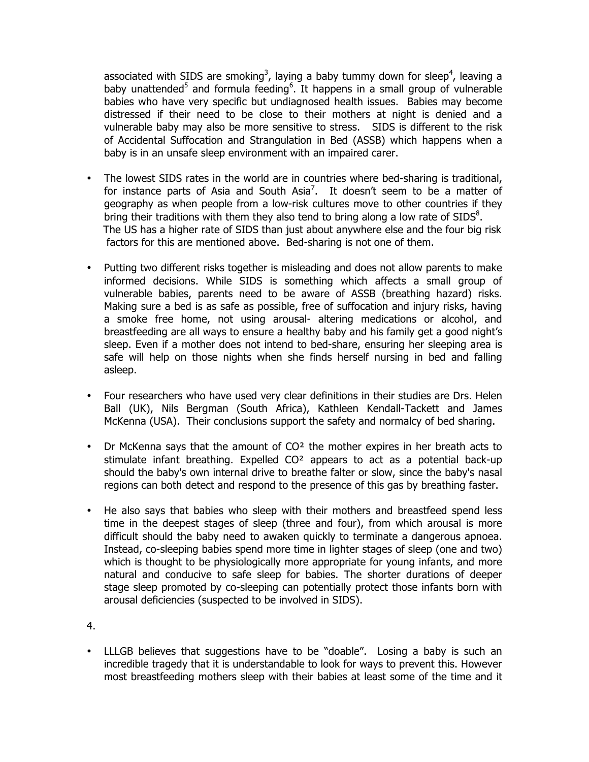associated with SIDS are smoking<sup>3</sup>, laying a baby tummy down for sleep<sup>4</sup>, leaving a baby unattended<sup>5</sup> and formula feeding<sup>6</sup>. It happens in a small group of vulnerable babies who have very specific but undiagnosed health issues. Babies may become distressed if their need to be close to their mothers at night is denied and a vulnerable baby may also be more sensitive to stress. SIDS is different to the risk of Accidental Suffocation and Strangulation in Bed (ASSB) which happens when a baby is in an unsafe sleep environment with an impaired carer.

- The lowest SIDS rates in the world are in countries where bed-sharing is traditional, for instance parts of Asia and South Asia<sup>7</sup>. It doesn't seem to be a matter of geography as when people from a low-risk cultures move to other countries if they bring their traditions with them they also tend to bring along a low rate of SIDS $^8$ . The US has a higher rate of SIDS than just about anywhere else and the four big risk factors for this are mentioned above. Bed-sharing is not one of them.
- Putting two different risks together is misleading and does not allow parents to make informed decisions. While SIDS is something which affects a small group of vulnerable babies, parents need to be aware of ASSB (breathing hazard) risks. Making sure a bed is as safe as possible, free of suffocation and injury risks, having a smoke free home, not using arousal- altering medications or alcohol, and breastfeeding are all ways to ensure a healthy baby and his family get a good night's sleep. Even if a mother does not intend to bed-share, ensuring her sleeping area is safe will help on those nights when she finds herself nursing in bed and falling asleep.
- Four researchers who have used very clear definitions in their studies are Drs. Helen Ball (UK), Nils Bergman (South Africa), Kathleen Kendall-Tackett and James McKenna (USA). Their conclusions support the safety and normalcy of bed sharing.
- Dr McKenna says that the amount of CO² the mother expires in her breath acts to stimulate infant breathing. Expelled  $CO<sup>2</sup>$  appears to act as a potential back-up should the baby's own internal drive to breathe falter or slow, since the baby's nasal regions can both detect and respond to the presence of this gas by breathing faster.
- He also says that babies who sleep with their mothers and breastfeed spend less time in the deepest stages of sleep (three and four), from which arousal is more difficult should the baby need to awaken quickly to terminate a dangerous apnoea. Instead, co-sleeping babies spend more time in lighter stages of sleep (one and two) which is thought to be physiologically more appropriate for young infants, and more natural and conducive to safe sleep for babies. The shorter durations of deeper stage sleep promoted by co-sleeping can potentially protect those infants born with arousal deficiencies (suspected to be involved in SIDS).

4.

• LLLGB believes that suggestions have to be "doable". Losing a baby is such an incredible tragedy that it is understandable to look for ways to prevent this. However most breastfeeding mothers sleep with their babies at least some of the time and it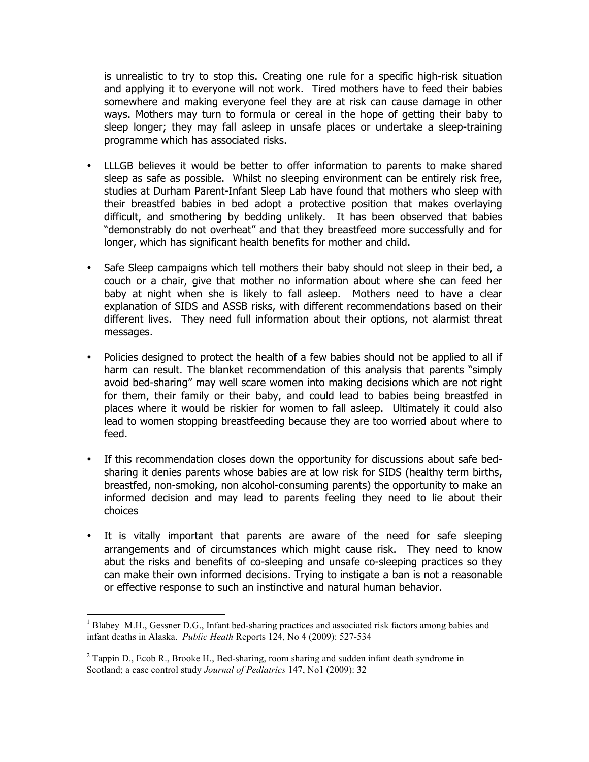is unrealistic to try to stop this. Creating one rule for a specific high-risk situation and applying it to everyone will not work. Tired mothers have to feed their babies somewhere and making everyone feel they are at risk can cause damage in other ways. Mothers may turn to formula or cereal in the hope of getting their baby to sleep longer; they may fall asleep in unsafe places or undertake a sleep-training programme which has associated risks.

- LLLGB believes it would be better to offer information to parents to make shared sleep as safe as possible. Whilst no sleeping environment can be entirely risk free, studies at Durham Parent-Infant Sleep Lab have found that mothers who sleep with their breastfed babies in bed adopt a protective position that makes overlaying difficult, and smothering by bedding unlikely. It has been observed that babies "demonstrably do not overheat" and that they breastfeed more successfully and for longer, which has significant health benefits for mother and child.
- Safe Sleep campaigns which tell mothers their baby should not sleep in their bed, a couch or a chair, give that mother no information about where she can feed her baby at night when she is likely to fall asleep. Mothers need to have a clear explanation of SIDS and ASSB risks, with different recommendations based on their different lives. They need full information about their options, not alarmist threat messages.
- Policies designed to protect the health of a few babies should not be applied to all if harm can result. The blanket recommendation of this analysis that parents "simply avoid bed-sharing" may well scare women into making decisions which are not right for them, their family or their baby, and could lead to babies being breastfed in places where it would be riskier for women to fall asleep. Ultimately it could also lead to women stopping breastfeeding because they are too worried about where to feed.
- If this recommendation closes down the opportunity for discussions about safe bedsharing it denies parents whose babies are at low risk for SIDS (healthy term births, breastfed, non-smoking, non alcohol-consuming parents) the opportunity to make an informed decision and may lead to parents feeling they need to lie about their choices
- It is vitally important that parents are aware of the need for safe sleeping arrangements and of circumstances which might cause risk. They need to know abut the risks and benefits of co-sleeping and unsafe co-sleeping practices so they can make their own informed decisions. Trying to instigate a ban is not a reasonable or effective response to such an instinctive and natural human behavior.

 <sup>1</sup> Blabey M.H., Gessner D.G., Infant bed-sharing practices and associated risk factors among babies and infant deaths in Alaska. *Public Heath* Reports 124, No 4 (2009): 527-534

 $2$  Tappin D., Ecob R., Brooke H., Bed-sharing, room sharing and sudden infant death syndrome in Scotland; a case control study *Journal of Pediatrics* 147, No1 (2009): 32